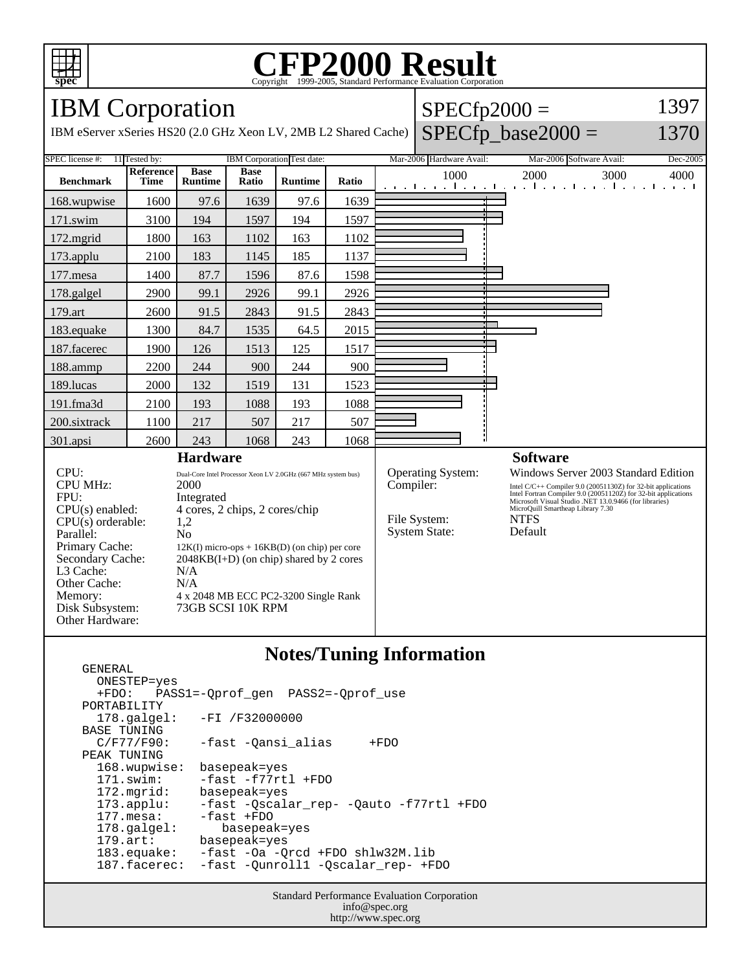

## C<sub>opyright</sub> ©1999-2005, Standard Performance Evaluation Corporation

 $SPECfp2000 =$ 

1397

### IBM Corporation

GENERAL

| IBM eServer xSeries HS20 (2.0 GHz Xeon LV, 2MB L2 Shared Cache)                                                                                                                           |                                 |                                                                                                                                                                                                                                                                                                                             |                      |                |                          |           |                                                                  |                          | $SPECfp\_base2000 =$                                                                                                                                                                                                                                                                            | 1370 |
|-------------------------------------------------------------------------------------------------------------------------------------------------------------------------------------------|---------------------------------|-----------------------------------------------------------------------------------------------------------------------------------------------------------------------------------------------------------------------------------------------------------------------------------------------------------------------------|----------------------|----------------|--------------------------|-----------|------------------------------------------------------------------|--------------------------|-------------------------------------------------------------------------------------------------------------------------------------------------------------------------------------------------------------------------------------------------------------------------------------------------|------|
| SPEC license #:<br>11 Tested by:                                                                                                                                                          | IBM Corporation Test date:      |                                                                                                                                                                                                                                                                                                                             |                      |                | Mar-2006 Hardware Avail: |           |                                                                  | Mar-2006 Software Avail: | Dec-2005                                                                                                                                                                                                                                                                                        |      |
| <b>Benchmark</b>                                                                                                                                                                          | <b>Reference</b><br><b>Time</b> | <b>Base</b><br><b>Runtime</b>                                                                                                                                                                                                                                                                                               | <b>Base</b><br>Ratio | <b>Runtime</b> | Ratio                    |           | 1000                                                             |                          | 2000<br>3000<br>and the model constitution of constitutions for model constitution                                                                                                                                                                                                              | 4000 |
| 168.wupwise                                                                                                                                                                               | 1600                            | 97.6                                                                                                                                                                                                                                                                                                                        | 1639                 | 97.6           | 1639                     |           |                                                                  |                          |                                                                                                                                                                                                                                                                                                 |      |
| 171.swim                                                                                                                                                                                  | 3100                            | 194                                                                                                                                                                                                                                                                                                                         | 1597                 | 194            | 1597                     |           |                                                                  |                          |                                                                                                                                                                                                                                                                                                 |      |
| 172.mgrid                                                                                                                                                                                 | 1800                            | 163                                                                                                                                                                                                                                                                                                                         | 1102                 | 163            | 1102                     |           |                                                                  |                          |                                                                                                                                                                                                                                                                                                 |      |
| 173.applu                                                                                                                                                                                 | 2100                            | 183                                                                                                                                                                                                                                                                                                                         | 1145                 | 185            | 1137                     |           |                                                                  |                          |                                                                                                                                                                                                                                                                                                 |      |
| 177.mesa                                                                                                                                                                                  | 1400                            | 87.7                                                                                                                                                                                                                                                                                                                        | 1596                 | 87.6           | 1598                     |           |                                                                  |                          |                                                                                                                                                                                                                                                                                                 |      |
| 178.galgel                                                                                                                                                                                | 2900                            | 99.1                                                                                                                                                                                                                                                                                                                        | 2926                 | 99.1           | 2926                     |           |                                                                  |                          |                                                                                                                                                                                                                                                                                                 |      |
| 179.art                                                                                                                                                                                   | 2600                            | 91.5                                                                                                                                                                                                                                                                                                                        | 2843                 | 91.5           | 2843                     |           |                                                                  |                          |                                                                                                                                                                                                                                                                                                 |      |
| 183.equake                                                                                                                                                                                | 1300                            | 84.7                                                                                                                                                                                                                                                                                                                        | 1535                 | 64.5           | 2015                     |           |                                                                  |                          |                                                                                                                                                                                                                                                                                                 |      |
| 187.facerec                                                                                                                                                                               | 1900                            | 126                                                                                                                                                                                                                                                                                                                         | 1513                 | 125            | 1517                     |           |                                                                  |                          |                                                                                                                                                                                                                                                                                                 |      |
| 188.ammp                                                                                                                                                                                  | 2200                            | 244                                                                                                                                                                                                                                                                                                                         | 900                  | 244            | 900                      |           |                                                                  |                          |                                                                                                                                                                                                                                                                                                 |      |
| 189.lucas                                                                                                                                                                                 | 2000                            | 132                                                                                                                                                                                                                                                                                                                         | 1519                 | 131            | 1523                     |           |                                                                  |                          |                                                                                                                                                                                                                                                                                                 |      |
| 191.fma3d                                                                                                                                                                                 | 2100                            | 193                                                                                                                                                                                                                                                                                                                         | 1088                 | 193            | 1088                     |           |                                                                  |                          |                                                                                                                                                                                                                                                                                                 |      |
| 200.sixtrack                                                                                                                                                                              | 1100                            | 217                                                                                                                                                                                                                                                                                                                         | 507                  | 217            | 507                      |           |                                                                  |                          |                                                                                                                                                                                                                                                                                                 |      |
| 301.apsi                                                                                                                                                                                  | 2600                            | 243                                                                                                                                                                                                                                                                                                                         | 1068                 | 243            | 1068                     |           |                                                                  |                          |                                                                                                                                                                                                                                                                                                 |      |
| <b>Hardware</b>                                                                                                                                                                           |                                 |                                                                                                                                                                                                                                                                                                                             |                      |                |                          |           |                                                                  |                          | <b>Software</b>                                                                                                                                                                                                                                                                                 |      |
| CPU:<br><b>CPU MHz:</b><br>FPU:<br>$CPU(s)$ enabled:<br>$CPU(s)$ orderable:<br>Parallel:<br>Primary Cache:<br>Secondary Cache:<br>L3 Cache:<br>Other Cache:<br>Memory:<br>Disk Subsystem: |                                 | Dual-Core Intel Processor Xeon LV 2.0GHz (667 MHz system bus)<br>2000<br>Integrated<br>4 cores, 2 chips, 2 cores/chip<br>1,2<br>N <sub>0</sub><br>$12K(I)$ micro-ops + $16KB(D)$ (on chip) per core<br>$2048KB(I+D)$ (on chip) shared by 2 cores<br>N/A<br>N/A<br>4 x 2048 MB ECC PC2-3200 Single Rank<br>73GB SCSI 10K RPM |                      |                |                          | Compiler: | <b>Operating System:</b><br>File System:<br><b>System State:</b> |                          | Windows Server 2003 Standard Edition<br>Intel C/C++ Compiler 9.0 (20051130Z) for 32-bit applications<br>Intel Fortran Compiler 9.0 (20051120Z) for 32-bit applications<br>Microsoft Visual Studio .NET 13.0.9466 (for libraries)<br>MicroQuill Smartheap Library 7.30<br><b>NTFS</b><br>Default |      |
| Other Hardware:                                                                                                                                                                           |                                 |                                                                                                                                                                                                                                                                                                                             |                      |                |                          |           |                                                                  |                          |                                                                                                                                                                                                                                                                                                 |      |

#### **Notes/Tuning Information**

ONESTEP=yes<br>+FDO: PAS PASS1=-Qprof\_gen PASS2=-Qprof\_use PORTABILITY<br>178.qalqel: -FI /F32000000 BASE TUNING<br>C/F77/F90: -fast -Qansi\_alias +FDO PEAK TUNING 168.wupwise: basepeak=yes 171.swim: -fast -f77rtl +FDO 172.mgrid: basepeak=yes 173.applu: -fast -Qscalar\_rep- -Qauto -f77rtl +FDO 177.mesa: -fast +FDO<br>178.galgel: basepeal 178.galgel: basepeak=yes<br>179.art: basepeak=yes basepeak=yes 183.equake: -fast -Oa -Qrcd +FDO shlw32M.lib -fast -Qunroll1 -Qscalar\_rep- +FDO

> Standard Performance Evaluation Corporation info@spec.org http://www.spec.org